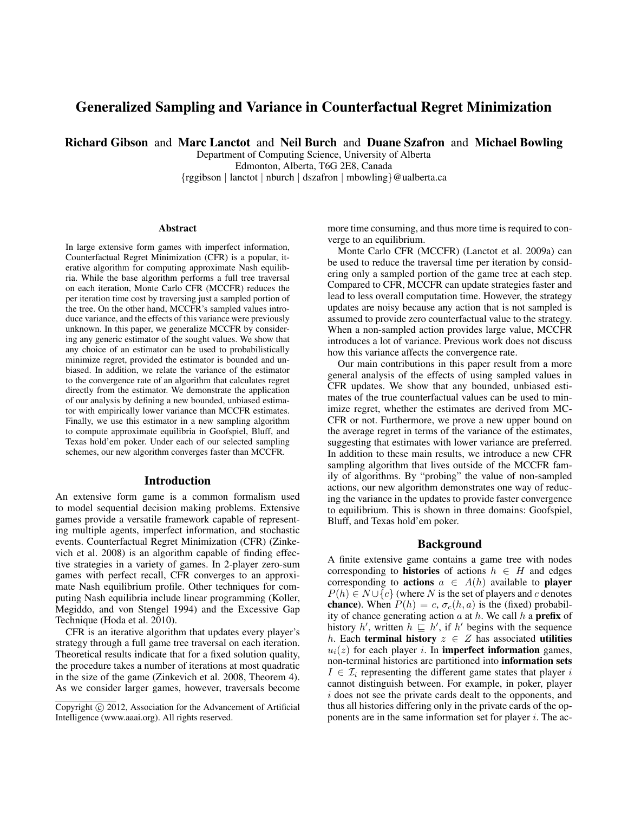# Generalized Sampling and Variance in Counterfactual Regret Minimization

Richard Gibson and Marc Lanctot and Neil Burch and Duane Szafron and Michael Bowling

Department of Computing Science, University of Alberta Edmonton, Alberta, T6G 2E8, Canada {rggibson | lanctot | nburch | dszafron | mbowling}@ualberta.ca

#### Abstract

In large extensive form games with imperfect information, Counterfactual Regret Minimization (CFR) is a popular, iterative algorithm for computing approximate Nash equilibria. While the base algorithm performs a full tree traversal on each iteration, Monte Carlo CFR (MCCFR) reduces the per iteration time cost by traversing just a sampled portion of the tree. On the other hand, MCCFR's sampled values introduce variance, and the effects of this variance were previously unknown. In this paper, we generalize MCCFR by considering any generic estimator of the sought values. We show that any choice of an estimator can be used to probabilistically minimize regret, provided the estimator is bounded and unbiased. In addition, we relate the variance of the estimator to the convergence rate of an algorithm that calculates regret directly from the estimator. We demonstrate the application of our analysis by defining a new bounded, unbiased estimator with empirically lower variance than MCCFR estimates. Finally, we use this estimator in a new sampling algorithm to compute approximate equilibria in Goofspiel, Bluff, and Texas hold'em poker. Under each of our selected sampling schemes, our new algorithm converges faster than MCCFR.

### Introduction

An extensive form game is a common formalism used to model sequential decision making problems. Extensive games provide a versatile framework capable of representing multiple agents, imperfect information, and stochastic events. Counterfactual Regret Minimization (CFR) (Zinkevich et al. 2008) is an algorithm capable of finding effective strategies in a variety of games. In 2-player zero-sum games with perfect recall, CFR converges to an approximate Nash equilibrium profile. Other techniques for computing Nash equilibria include linear programming (Koller, Megiddo, and von Stengel 1994) and the Excessive Gap Technique (Hoda et al. 2010).

CFR is an iterative algorithm that updates every player's strategy through a full game tree traversal on each iteration. Theoretical results indicate that for a fixed solution quality, the procedure takes a number of iterations at most quadratic in the size of the game (Zinkevich et al. 2008, Theorem 4). As we consider larger games, however, traversals become

more time consuming, and thus more time is required to converge to an equilibrium.

Monte Carlo CFR (MCCFR) (Lanctot et al. 2009a) can be used to reduce the traversal time per iteration by considering only a sampled portion of the game tree at each step. Compared to CFR, MCCFR can update strategies faster and lead to less overall computation time. However, the strategy updates are noisy because any action that is not sampled is assumed to provide zero counterfactual value to the strategy. When a non-sampled action provides large value, MCCFR introduces a lot of variance. Previous work does not discuss how this variance affects the convergence rate.

Our main contributions in this paper result from a more general analysis of the effects of using sampled values in CFR updates. We show that any bounded, unbiased estimates of the true counterfactual values can be used to minimize regret, whether the estimates are derived from MC-CFR or not. Furthermore, we prove a new upper bound on the average regret in terms of the variance of the estimates, suggesting that estimates with lower variance are preferred. In addition to these main results, we introduce a new CFR sampling algorithm that lives outside of the MCCFR family of algorithms. By "probing" the value of non-sampled actions, our new algorithm demonstrates one way of reducing the variance in the updates to provide faster convergence to equilibrium. This is shown in three domains: Goofspiel, Bluff, and Texas hold'em poker.

### Background

A finite extensive game contains a game tree with nodes corresponding to **histories** of actions  $h \in H$  and edges corresponding to **actions**  $a \in A(h)$  available to **player**  $P(h) \in N \cup \{c\}$  (where N is the set of players and c denotes **chance**). When  $P(h) = c$ ,  $\sigma_c(h, a)$  is the (fixed) probability of chance generating action  $a$  at  $h$ . We call  $h$  a **prefix** of history h', written  $h \subseteq h'$ , if h' begins with the sequence h. Each **terminal history**  $z \in Z$  has associated **utilities**  $u_i(z)$  for each player *i*. In **imperfect information** games, non-terminal histories are partitioned into information sets  $I \in \mathcal{I}_i$  representing the different game states that player i cannot distinguish between. For example, in poker, player  $i$  does not see the private cards dealt to the opponents, and thus all histories differing only in the private cards of the opponents are in the same information set for player  $i$ . The ac-

Copyright © 2012, Association for the Advancement of Artificial Intelligence (www.aaai.org). All rights reserved.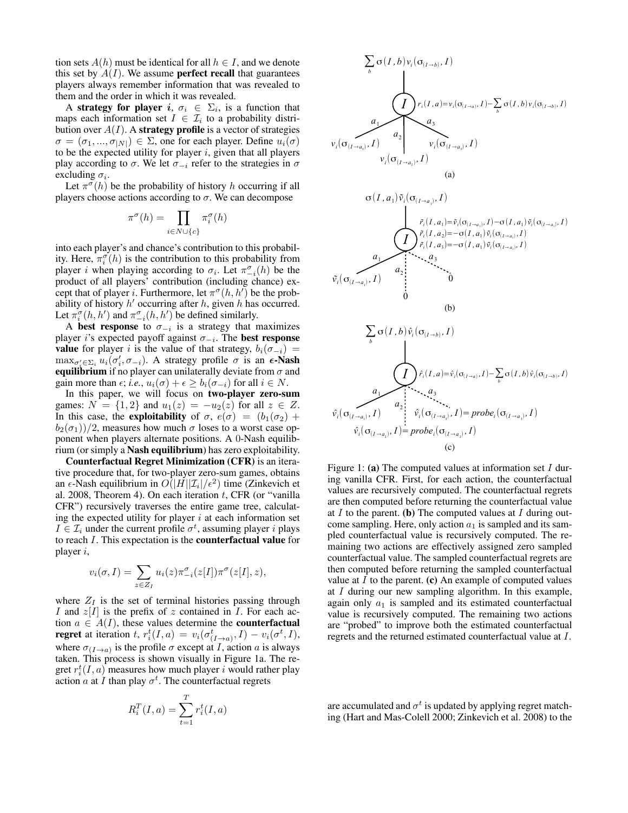tion sets  $A(h)$  must be identical for all  $h \in I$ , and we denote this set by  $A(I)$ . We assume **perfect recall** that guarantees players always remember information that was revealed to them and the order in which it was revealed.

A strategy for player i,  $\sigma_i \in \Sigma_i$ , is a function that maps each information set  $I \in \mathcal{I}_i$  to a probability distribution over  $A(I)$ . A strategy profile is a vector of strategies  $\sigma = (\sigma_1, ..., \sigma_{|N|}) \in \Sigma$ , one for each player. Define  $u_i(\sigma)$ to be the expected utility for player  $i$ , given that all players play according to  $\sigma$ . We let  $\sigma_{-i}$  refer to the strategies in  $\sigma$ excluding  $\sigma_i$ .

Let  $\pi^{\sigma}(h)$  be the probability of history h occurring if all players choose actions according to  $\sigma$ . We can decompose

$$
\pi^{\sigma}(h) = \prod_{i \in N \cup \{c\}} \pi_i^{\sigma}(h)
$$

into each player's and chance's contribution to this probability. Here,  $\pi_i^{\sigma}(h)$  is the contribution to this probability from player *i* when playing according to  $\sigma_i$ . Let  $\pi_{-i}^{\sigma}(h)$  be the product of all players' contribution (including chance) except that of player *i*. Furthermore, let  $\pi^{\sigma}(h, h')$  be the probability of history  $h'$  occurring after  $h$ , given  $h$  has occurred. Let  $\pi_i^{\sigma}(h, h')$  and  $\pi_{-i}^{\sigma}(h, h')$  be defined similarly.

A best response to  $\sigma_{-i}$  is a strategy that maximizes player i's expected payoff against  $\sigma_{-i}$ . The **best response** value for player i is the value of that strategy,  $b_i(\sigma_{-i})$  =  $\max_{\sigma_i' \in \Sigma_i} u_i(\sigma_i', \sigma_{-i})$ . A strategy profile  $\sigma$  is an  $\epsilon$ -Nash equilibrium if no player can unilaterally deviate from  $\sigma$  and gain more than  $\epsilon$ ; *i.e.*,  $u_i(\sigma) + \epsilon \geq b_i(\sigma_{-i})$  for all  $i \in N$ .

In this paper, we will focus on two-player zero-sum games:  $N = \{1, 2\}$  and  $u_1(z) = -u_2(z)$  for all  $z \in Z$ . In this case, the exploitability of  $\sigma$ ,  $e(\sigma) = (b_1(\sigma_2) + b_2)$  $b_2(\sigma_1)/2$ , measures how much  $\sigma$  loses to a worst case opponent when players alternate positions. A 0-Nash equilibrium (or simply a Nash equilibrium) has zero exploitability.

Counterfactual Regret Minimization (CFR) is an iterative procedure that, for two-player zero-sum games, obtains an  $\epsilon$ -Nash equilibrium in  $O(|H||\mathcal{I}_i|/\epsilon^2)$  time (Zinkevich et al. 2008, Theorem 4). On each iteration  $t$ , CFR (or "vanilla" CFR") recursively traverses the entire game tree, calculating the expected utility for player  $i$  at each information set  $I \in \mathcal{I}_i$  under the current profile  $\sigma^t$ , assuming player *i* plays to reach I. This expectation is the counterfactual value for player i,

$$
v_i(\sigma, I) = \sum_{z \in Z_I} u_i(z) \pi_{-i}^{\sigma}(z[I]) \pi^{\sigma}(z[I], z),
$$

where  $Z_I$  is the set of terminal histories passing through I and  $z[I]$  is the prefix of z contained in I. For each action  $a \in A(I)$ , these values determine the **counterfactual regret** at iteration t,  $r_i^t(I, a) = v_i(\sigma_{(I \rightarrow a)}^t, I) - v_i(\sigma_i^t, I)$ , where  $\sigma_{(I\rightarrow a)}$  is the profile  $\sigma$  except at *I*, action *a* is always taken. This process is shown visually in Figure 1a. The regret  $r_i^t(I, a)$  measures how much player i would rather play action  $\hat{a}$  at  $\hat{I}$  than play  $\sigma^t$ . The counterfactual regrets

$$
R_i^T(I,a) = \sum_{t=1}^T r_i^t(I,a)
$$



Figure 1: (a) The computed values at information set  $I$  during vanilla CFR. First, for each action, the counterfactual values are recursively computed. The counterfactual regrets are then computed before returning the counterfactual value at  $I$  to the parent. (b) The computed values at  $I$  during outcome sampling. Here, only action  $a_1$  is sampled and its sampled counterfactual value is recursively computed. The remaining two actions are effectively assigned zero sampled counterfactual value. The sampled counterfactual regrets are then computed before returning the sampled counterfactual value at  $I$  to the parent. (c) An example of computed values at  $I$  during our new sampling algorithm. In this example, again only  $a_1$  is sampled and its estimated counterfactual value is recursively computed. The remaining two actions are "probed" to improve both the estimated counterfactual regrets and the returned estimated counterfactual value at I.

are accumulated and  $\sigma^t$  is updated by applying regret matching (Hart and Mas-Colell 2000; Zinkevich et al. 2008) to the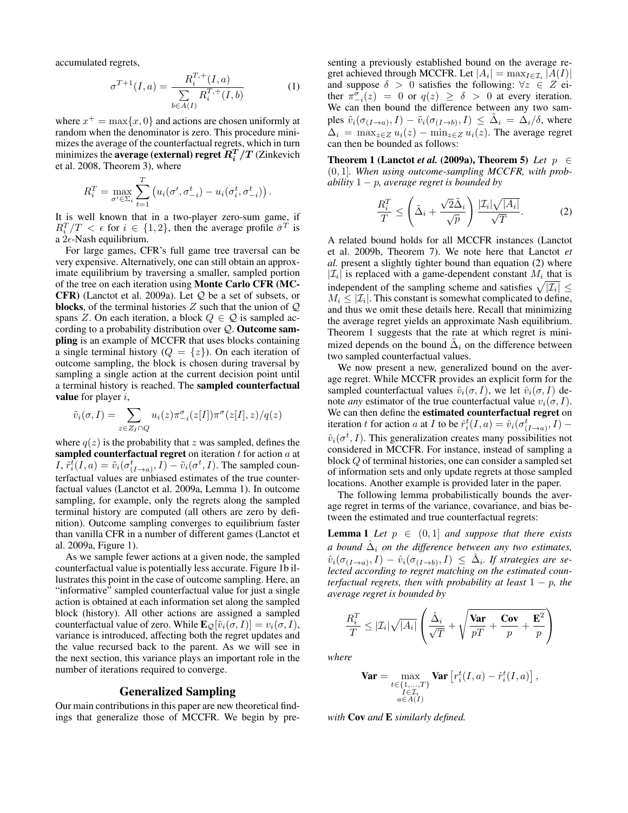accumulated regrets,

$$
\sigma^{T+1}(I,a) = \frac{R_i^{T,+}(I,a)}{\sum\limits_{b \in A(I)} R_i^{T,+}(I,b)}\tag{1}
$$

where  $x^+ = \max\{x, 0\}$  and actions are chosen uniformly at random when the denominator is zero. This procedure minimizes the average of the counterfactual regrets, which in turn minimizes the **average (external) regret**  $R_i^T/T$  (Zinkevich et al. 2008, Theorem 3), where

$$
R_i^T = \max_{\sigma' \in \Sigma_i} \sum_{t=1}^T \left( u_i(\sigma', \sigma^t_{-i}) - u_i(\sigma^t_i, \sigma^t_{-i}) \right).
$$

It is well known that in a two-player zero-sum game, if  $R_i^T/T < \epsilon$  for  $i \in \{1,2\}$ , then the average profile  $\bar{\sigma}^T$  is a  $2\epsilon$ -Nash equilibrium.

For large games, CFR's full game tree traversal can be very expensive. Alternatively, one can still obtain an approximate equilibrium by traversing a smaller, sampled portion of the tree on each iteration using Monte Carlo CFR (MC-CFR) (Lanctot et al. 2009a). Let Q be a set of subsets, or **blocks**, of the terminal histories  $Z$  such that the union of  $Q$ spans Z. On each iteration, a block  $Q \in \mathcal{Q}$  is sampled according to a probability distribution over Q. Outcome sampling is an example of MCCFR that uses blocks containing a single terminal history ( $Q = \{z\}$ ). On each iteration of outcome sampling, the block is chosen during traversal by sampling a single action at the current decision point until a terminal history is reached. The sampled counterfactual **value** for player  $i$ ,

$$
\tilde{v}_i(\sigma, I) = \sum_{z \in Z_I \cap Q} u_i(z) \pi_{-i}^{\sigma}(z[I]) \pi^{\sigma}(z[I], z) / q(z)
$$

where  $q(z)$  is the probability that z was sampled, defines the sampled counterfactual regret on iteration  $t$  for action  $a$  at *I*,  $\tilde{r}_i^{\bar{t}}(I, a) = \tilde{v}_i(\sigma_{(I \to a)}^t, I) - \tilde{v}_i(\sigma^t, I)$ . The sampled counterfactual values are unbiased estimates of the true counterfactual values (Lanctot et al. 2009a, Lemma 1). In outcome sampling, for example, only the regrets along the sampled terminal history are computed (all others are zero by definition). Outcome sampling converges to equilibrium faster than vanilla CFR in a number of different games (Lanctot et al. 2009a, Figure 1).

As we sample fewer actions at a given node, the sampled counterfactual value is potentially less accurate. Figure 1b illustrates this point in the case of outcome sampling. Here, an "informative" sampled counterfactual value for just a single action is obtained at each information set along the sampled block (history). All other actions are assigned a sampled counterfactual value of zero. While  $\mathbf{E}_{\mathcal{Q}}[\tilde{v}_i(\sigma, I)] = v_i(\sigma, I),$ variance is introduced, affecting both the regret updates and the value recursed back to the parent. As we will see in the next section, this variance plays an important role in the number of iterations required to converge.

#### Generalized Sampling

Our main contributions in this paper are new theoretical findings that generalize those of MCCFR. We begin by presenting a previously established bound on the average regret achieved through MCCFR. Let  $|A_i| = \max_{I \in \mathcal{I}_i} |A(I)|$ and suppose  $\delta > 0$  satisfies the following:  $\forall z \in Z$  either  $\pi_{-i}^{\sigma}(z) = 0$  or  $q(z) \ge \delta > 0$  at every iteration. We can then bound the difference between any two samples  $\tilde{v}_i(\sigma_{(I\rightarrow a)}, I) - \tilde{v}_i(\sigma_{(I\rightarrow b)}, I) \leq \tilde{\Delta}_i = \tilde{\Delta}_i/\delta$ , where  $\Delta_i = \max_{z \in Z} u_i(z) - \min_{z \in Z} u_i(z)$ . The average regret can then be bounded as follows:

Theorem 1 (Lanctot *et al.* (2009a), Theorem 5) Let  $p \in$ (0, 1]*. When using outcome-sampling MCCFR, with probability* 1 − p*, average regret is bounded by*

$$
\frac{R_i^T}{T} \le \left(\tilde{\Delta}_i + \frac{\sqrt{2}\tilde{\Delta}_i}{\sqrt{p}}\right) \frac{|\mathcal{I}_i|\sqrt{|A_i|}}{\sqrt{T}}.
$$
 (2)

A related bound holds for all MCCFR instances (Lanctot et al. 2009b, Theorem 7). We note here that Lanctot *et al.* present a slightly tighter bound than equation (2) where  $|\mathcal{I}_i|$  is replaced with a game-dependent constant  $M_i$  that is independent of the sampling scheme and satisfies  $\sqrt{|\mathcal{I}_i|} \le$  $M_i \leq |\mathcal{I}_i|$ . This constant is somewhat complicated to define, and thus we omit these details here. Recall that minimizing the average regret yields an approximate Nash equilibrium. Theorem 1 suggests that the rate at which regret is minimized depends on the bound  $\tilde{\Delta}_i$  on the difference between two sampled counterfactual values.

We now present a new, generalized bound on the average regret. While MCCFR provides an explicit form for the sampled counterfactual values  $\tilde{v}_i(\sigma, I)$ , we let  $\hat{v}_i(\sigma, I)$  denote *any* estimator of the true counterfactual value  $v_i(\sigma, I)$ . We can then define the **estimated counterfactual regret** on iteration t for action a at I to be  $\hat{r}_i^t(I,a) = \hat{v}_i(\sigma_{(I \to a)}^t, I)$  –  $\hat{v}_i(\sigma^t, I)$ . This generalization creates many possibilities not considered in MCCFR. For instance, instead of sampling a block Q of terminal histories, one can consider a sampled set of information sets and only update regrets at those sampled locations. Another example is provided later in the paper.

The following lemma probabilistically bounds the average regret in terms of the variance, covariance, and bias between the estimated and true counterfactual regrets:

**Lemma 1** Let  $p \in (0,1]$  and suppose that there exists a bound  $\hat{\Delta}_i$  on the difference between any two estimates,  $\hat{v}_i(\sigma_{(I\rightarrow a)}, I) - \hat{v}_i(\sigma_{(I\rightarrow b)}, I) \leq \hat{\Delta}_i$ . If strategies are se*lected according to regret matching on the estimated counterfactual regrets, then with probability at least*  $1 - p$ *, the average regret is bounded by*

$$
\frac{R_i^T}{T} \leq |\mathcal{I}_i| \sqrt{|A_i|} \left( \frac{\hat{\Delta}_i}{\sqrt{T}} + \sqrt{\frac{\text{Var}}{pT} + \frac{\text{Cov}}{p} + \frac{\mathbf{E}^2}{p}} \right)
$$

*where*

$$
\textbf{Var} = \max_{\substack{t \in \{1, \dots, T\} \\ I \in \mathcal{I}_i \\ a \in A(I)}} \textbf{Var}\left[r_i^t(I, a) - \hat{r}_i^t(I, a)\right],
$$

*with* Cov *and* E *similarly defined.*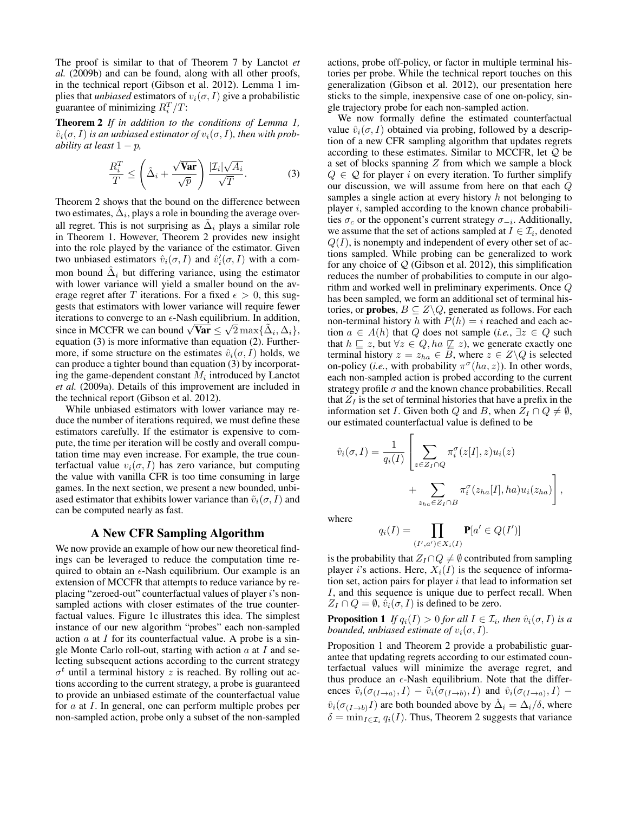The proof is similar to that of Theorem 7 by Lanctot *et al.* (2009b) and can be found, along with all other proofs, in the technical report (Gibson et al. 2012). Lemma 1 implies that *unbiased* estimators of  $v_i(\sigma, I)$  give a probabilistic guarantee of minimizing  $R_i^T/T$ :

Theorem 2 *If in addition to the conditions of Lemma 1,*  $\hat{v}_i(\sigma, I)$  *is an unbiased estimator of*  $v_i(\sigma, I)$ *, then with probability at least*  $1 - p$ ,

$$
\frac{R_i^T}{T} \le \left(\hat{\Delta}_i + \frac{\sqrt{\text{Var}}}{\sqrt{p}}\right) \frac{|\mathcal{I}_i|\sqrt{A_i}}{\sqrt{T}}.
$$
 (3)

Theorem 2 shows that the bound on the difference between two estimates,  $\hat{\Delta}_i$ , plays a role in bounding the average overall regret. This is not surprising as  $\tilde{\Delta}_i$  plays a similar role in Theorem 1. However, Theorem 2 provides new insight into the role played by the variance of the estimator. Given two unbiased estimators  $\hat{v}_i(\sigma, I)$  and  $\hat{v}'_i(\sigma, I)$  with a common bound  $\hat{\Delta}_i$  but differing variance, using the estimator with lower variance will yield a smaller bound on the average regret after T iterations. For a fixed  $\epsilon > 0$ , this suggests that estimators with lower variance will require fewer iterations to converge to an  $\epsilon$ -Nash equilibrium. In addition, The in MCCFR we can bound  $\sqrt{\text{Var}} \leq \sqrt{2} \max{\{\tilde{\Delta}_i, \Delta_i\}}$ , equation (3) is more informative than equation (2). Furthermore, if some structure on the estimates  $\hat{v}_i(\sigma, I)$  holds, we can produce a tighter bound than equation (3) by incorporating the game-dependent constant  $M_i$  introduced by Lanctot *et al.* (2009a). Details of this improvement are included in the technical report (Gibson et al. 2012).

While unbiased estimators with lower variance may reduce the number of iterations required, we must define these estimators carefully. If the estimator is expensive to compute, the time per iteration will be costly and overall computation time may even increase. For example, the true counterfactual value  $v_i(\sigma, I)$  has zero variance, but computing the value with vanilla CFR is too time consuming in large games. In the next section, we present a new bounded, unbiased estimator that exhibits lower variance than  $\tilde{v}_i(\sigma, I)$  and can be computed nearly as fast.

### A New CFR Sampling Algorithm

We now provide an example of how our new theoretical findings can be leveraged to reduce the computation time required to obtain an  $\epsilon$ -Nash equilibrium. Our example is an extension of MCCFR that attempts to reduce variance by replacing "zeroed-out" counterfactual values of player i's nonsampled actions with closer estimates of the true counterfactual values. Figure 1c illustrates this idea. The simplest instance of our new algorithm "probes" each non-sampled action  $a$  at  $I$  for its counterfactual value. A probe is a single Monte Carlo roll-out, starting with action  $a$  at  $I$  and selecting subsequent actions according to the current strategy  $\sigma^t$  until a terminal history z is reached. By rolling out actions according to the current strategy, a probe is guaranteed to provide an unbiased estimate of the counterfactual value for a at I. In general, one can perform multiple probes per non-sampled action, probe only a subset of the non-sampled

actions, probe off-policy, or factor in multiple terminal histories per probe. While the technical report touches on this generalization (Gibson et al. 2012), our presentation here sticks to the simple, inexpensive case of one on-policy, single trajectory probe for each non-sampled action.

We now formally define the estimated counterfactual value  $\hat{v}_i(\sigma, I)$  obtained via probing, followed by a description of a new CFR sampling algorithm that updates regrets according to these estimates. Similar to MCCFR, let  $Q$  be a set of blocks spanning  $Z$  from which we sample a block  $Q \in \mathcal{Q}$  for player i on every iteration. To further simplify our discussion, we will assume from here on that each Q samples a single action at every history  $h$  not belonging to player  $i$ , sampled according to the known chance probabilities  $\sigma_c$  or the opponent's current strategy  $\sigma_{-i}$ . Additionally, we assume that the set of actions sampled at  $I \in \mathcal{I}_i$ , denoted  $Q(I)$ , is nonempty and independent of every other set of actions sampled. While probing can be generalized to work for any choice of  $Q$  (Gibson et al. 2012), this simplification reduces the number of probabilities to compute in our algorithm and worked well in preliminary experiments. Once Q has been sampled, we form an additional set of terminal histories, or **probes**,  $B \subseteq Z \backslash Q$ , generated as follows. For each non-terminal history h with  $P(h) = i$  reached and each action  $a \in A(h)$  that Q does not sample (*i.e.*,  $\exists z \in Q$  such that  $h \sqsubseteq z$ , but  $\forall z \in Q$ ,  $ha \not\sqsubseteq z$ ), we generate exactly one terminal history  $z = z_{ha} \in B$ , where  $z \in Z \backslash Q$  is selected on-policy (*i.e.*, with probability  $\pi^{\sigma}(ha, z)$ ). In other words, each non-sampled action is probed according to the current strategy profile  $\sigma$  and the known chance probabilities. Recall that  $Z_I$  is the set of terminal histories that have a prefix in the information set I. Given both Q and B, when  $Z_I \cap Q \neq \emptyset$ , our estimated counterfactual value is defined to be

$$
\hat{v}_i(\sigma, I) = \frac{1}{q_i(I)} \left[ \sum_{z \in Z_I \cap Q} \pi_i^{\sigma}(z[I], z) u_i(z) + \sum_{z_{ha} \in Z_I \cap B} \pi_i^{\sigma}(z_{ha}[I], ha) u_i(z_{ha}) \right]
$$

,

where

$$
q_i(I) = \prod_{(I',a') \in X_i(I)} \mathbf{P}[a' \in Q(I')]
$$

is the probability that  $Z_I \cap Q \neq \emptyset$  contributed from sampling player *i*'s actions. Here,  $X_i(I)$  is the sequence of information set, action pairs for player  $i$  that lead to information set I, and this sequence is unique due to perfect recall. When  $Z_I \cap Q = \emptyset$ ,  $\hat{v}_i(\sigma, I)$  is defined to be zero.

**Proposition 1** If  $q_i(I) > 0$  for all  $I \in \mathcal{I}_i$ , then  $\hat{v}_i(\sigma, I)$  is a *bounded, unbiased estimate of*  $v_i(\sigma, I)$ *.* 

Proposition 1 and Theorem 2 provide a probabilistic guarantee that updating regrets according to our estimated counterfactual values will minimize the average regret, and thus produce an  $\epsilon$ -Nash equilibrium. Note that the differences  $\tilde{v}_i(\sigma_{(I\rightarrow a)}, I) - \tilde{v}_i(\sigma_{(I\rightarrow b)}, I)$  and  $\hat{v}_i(\sigma_{(I\rightarrow a)}, I)$  - $\hat{v}_i(\sigma_{(I\rightarrow b)}I)$  are both bounded above by  $\hat{\Delta}_i = \Delta_i/\delta$ , where  $\delta = \min_{I \in \mathcal{I}_i} q_i(I)$ . Thus, Theorem 2 suggests that variance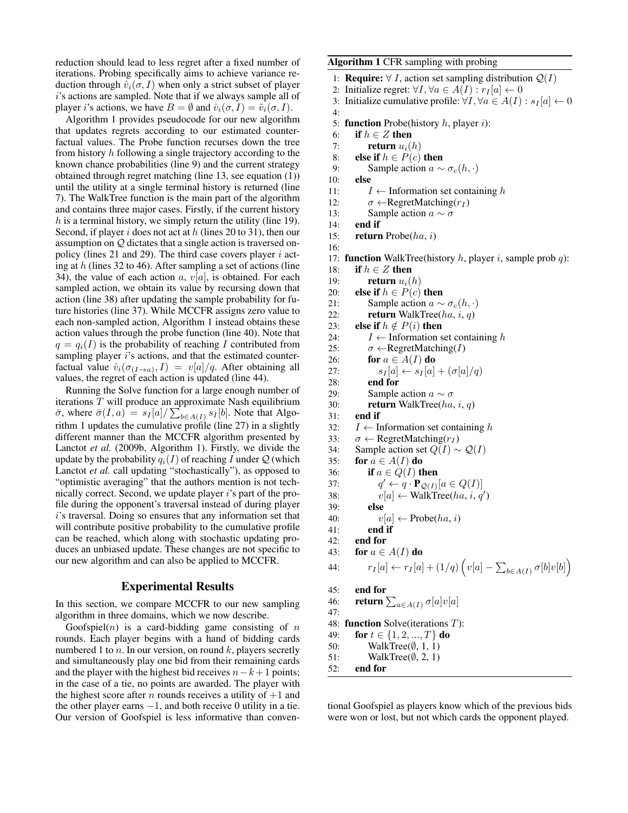reduction should lead to less regret after a fixed number of iterations. Probing specifically aims to achieve variance reduction through  $\hat{v}_i(\sigma, I)$  when only a strict subset of player i's actions are sampled. Note that if we always sample all of player *i*'s actions, we have  $B = \emptyset$  and  $\hat{v}_i(\sigma, I) = \tilde{v}_i(\sigma, I)$ .

Algorithm 1 provides pseudocode for our new algorithm that updates regrets according to our estimated counterfactual values. The Probe function recurses down the tree from history h following a single trajectory according to the known chance probabilities (line 9) and the current strategy obtained through regret matching (line 13, see equation (1)) until the utility at a single terminal history is returned (line 7). The WalkTree function is the main part of the algorithm and contains three major cases. Firstly, if the current history  $h$  is a terminal history, we simply return the utility (line 19). Second, if player i does not act at  $h$  (lines 20 to 31), then our assumption on Q dictates that a single action is traversed onpolicy (lines 21 and 29). The third case covers player  $i$  acting at  $h$  (lines 32 to 46). After sampling a set of actions (line 34), the value of each action a,  $v[a]$ , is obtained. For each sampled action, we obtain its value by recursing down that action (line 38) after updating the sample probability for future histories (line 37). While MCCFR assigns zero value to each non-sampled action, Algorithm 1 instead obtains these action values through the probe function (line 40). Note that  $q = q_i(I)$  is the probability of reaching I contributed from sampling player  $i$ 's actions, and that the estimated counterfactual value  $\hat{v}_i(\sigma_{(I\rightarrow a)}, I) = v[a]/q$ . After obtaining all values, the regret of each action is updated (line 44).

Running the Solve function for a large enough number of iterations T will produce an approximate Nash equilibrium  $\bar{\sigma}$ , where  $\bar{\sigma}(I, a) = s_I[a]/\sum_{b \in A(I)} s_I[b]$ . Note that Algorithm 1 updates the cumulative profile (line 27) in a slightly different manner than the MCCFR algorithm presented by Lanctot *et al.* (2009b, Algorithm 1). Firstly, we divide the update by the probability  $q_i(I)$  of reaching I under Q (which Lanctot *et al.* call updating "stochastically"), as opposed to "optimistic averaging" that the authors mention is not technically correct. Second, we update player  $i$ 's part of the profile during the opponent's traversal instead of during player i's traversal. Doing so ensures that any information set that will contribute positive probability to the cumulative profile can be reached, which along with stochastic updating produces an unbiased update. These changes are not specific to our new algorithm and can also be applied to MCCFR.

### Experimental Results

In this section, we compare MCCFR to our new sampling algorithm in three domains, which we now describe.

Goofspiel $(n)$  is a card-bidding game consisting of n rounds. Each player begins with a hand of bidding cards numbered 1 to  $n$ . In our version, on round  $k$ , players secretly and simultaneously play one bid from their remaining cards and the player with the highest bid receives  $n-k+1$  points; in the case of a tie, no points are awarded. The player with the highest score after *n* rounds receives a utility of  $+1$  and the other player earns  $-1$ , and both receive 0 utility in a tie. Our version of Goofspiel is less informative than convenAlgorithm 1 CFR sampling with probing

1: **Require:** ∀ *I*, action set sampling distribution  $Q(I)$ 

2: Initialize regret:  $\forall I, \forall a \in A(I) : r_I[a] \leftarrow 0$ <br>3: Initialize cumulative profile:  $\forall I, \forall a \in A(I)$ 

- Initialize cumulative profile:  $\forall I, \forall a \in A(I) : s_I[a] \leftarrow 0$ 4:
	-
- 5: **function** Probe(history  $h$ , player  $i$ ):
- 6: if  $h \in Z$  then
- 7: **return**  $u_i(h)$ <br>8: **else if**  $h \in P(c)$
- else if  $h \in P(c)$  then
- 9: Sample action  $a \sim \sigma_c(h, \cdot)$ <br>10: **else**
- else
- 11:  $I \leftarrow$  Information set containing h
- 12:  $\sigma \leftarrow \text{RegretMatching}(r_I)$
- 13: Sample action  $a \sim \sigma$
- 14: end if

16:

15: return Probe(ha, i)

17: **function** WalkTree(history  $h$ , player  $i$ , sample prob  $q$ ):

```
18: if h \in Z then
```
- 
- 19: **return**  $u_i(h)$ <br>20: **else if**  $h \in P(c)$ else if  $h \in P(c)$  then
- 21: Sample action  $a \sim \sigma_c(h, \cdot)$ <br>22: **return** WalkTree(*ha, i, a*)
	- return WalkTree( $ha$ , i, q)
- 23: else if  $h \notin P(i)$  then
- 24:  $I \leftarrow$  Information set containing h
- 25:  $\sigma \leftarrow \text{RegretMatching}(I)$
- 26: **for**  $a \in A(I)$  **do**
- 27:  $s_I[a] \leftarrow s_I[a] + (\sigma[a]/q)$ <br>28: **end for**
- end for
- 29: Sample action  $a \sim \sigma$
- 30: return WalkTree( $ha$ , i, q)
- 31: end if
- 32:  $I \leftarrow$  Information set containing h
- 33:  $\sigma \leftarrow \text{RegretMatching}(r_I)$
- 34: Sample action set  $Q(I) \sim Q(I)$

```
35: for a \in A(I) do
```
- 36: if  $a \in Q(I)$  then  $37:$
- $\mathbf{O}' \leftarrow q \cdot \mathbf{P}_{\mathcal{Q}(I)}[a \in Q(I)]$ 38:  $v[a] \leftarrow \text{WalkTree}(ha, i, q')$
- 39: else
- 40:  $v[a] \leftarrow \text{Probe}(ha, i)$
- 41: end if
- 42: end for
- 43: for  $a \in A(I)$  do

44: 
$$
r_I[a] \leftarrow r_I[a] + (1/q) \left( v[a] - \sum_{b \in A(I)} \sigma[b] v[b] \right)
$$

45: end for 46: return  $\sum_{a\in A(I)}\sigma[a]v[a]$ 47: 48: function Solve(iterations T): 49: **for**  $t \in \{1, 2, ..., T\}$  do

- 
- 50: WalkTree(∅, 1, 1)
- 51: WalkTree $(\emptyset, 2, 1)$ 52: end for
- 

tional Goofspiel as players know which of the previous bids were won or lost, but not which cards the opponent played.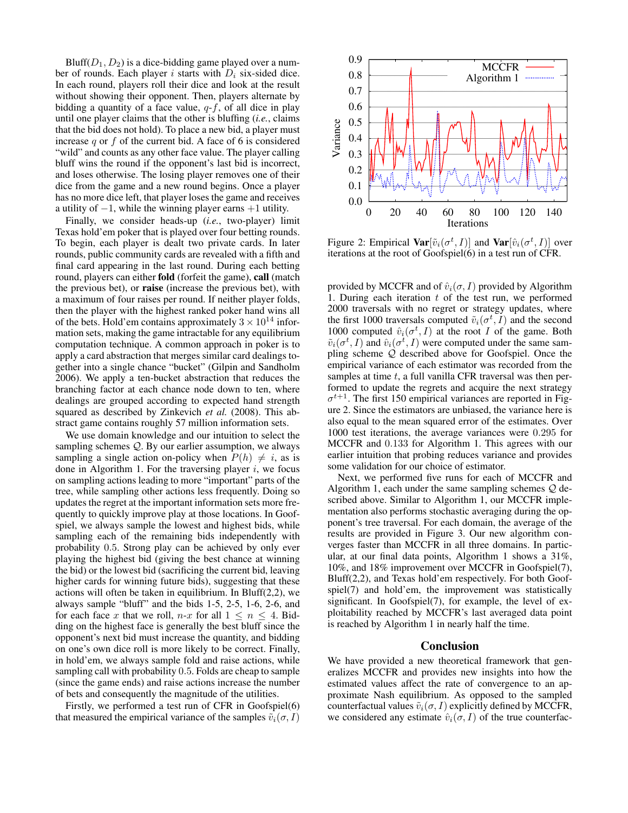Bluff( $D_1, D_2$ ) is a dice-bidding game played over a number of rounds. Each player i starts with  $D_i$  six-sided dice. In each round, players roll their dice and look at the result without showing their opponent. Then, players alternate by bidding a quantity of a face value,  $q-f$ , of all dice in play until one player claims that the other is bluffing (*i.e.*, claims that the bid does not hold). To place a new bid, a player must increase  $q$  or  $f$  of the current bid. A face of 6 is considered "wild" and counts as any other face value. The player calling bluff wins the round if the opponent's last bid is incorrect, and loses otherwise. The losing player removes one of their dice from the game and a new round begins. Once a player has no more dice left, that player loses the game and receives a utility of  $-1$ , while the winning player earns  $+1$  utility.

Finally, we consider heads-up (*i.e.*, two-player) limit Texas hold'em poker that is played over four betting rounds. To begin, each player is dealt two private cards. In later rounds, public community cards are revealed with a fifth and final card appearing in the last round. During each betting round, players can either fold (forfeit the game), call (match the previous bet), or raise (increase the previous bet), with a maximum of four raises per round. If neither player folds, then the player with the highest ranked poker hand wins all of the bets. Hold'em contains approximately  $3 \times 10^{14}$  information sets, making the game intractable for any equilibrium computation technique. A common approach in poker is to apply a card abstraction that merges similar card dealings together into a single chance "bucket" (Gilpin and Sandholm 2006). We apply a ten-bucket abstraction that reduces the branching factor at each chance node down to ten, where dealings are grouped according to expected hand strength squared as described by Zinkevich *et al.* (2008). This abstract game contains roughly 57 million information sets.

We use domain knowledge and our intuition to select the sampling schemes Q. By our earlier assumption, we always sampling a single action on-policy when  $P(h) \neq i$ , as is done in Algorithm 1. For the traversing player  $i$ , we focus on sampling actions leading to more "important" parts of the tree, while sampling other actions less frequently. Doing so updates the regret at the important information sets more frequently to quickly improve play at those locations. In Goofspiel, we always sample the lowest and highest bids, while sampling each of the remaining bids independently with probability 0.5. Strong play can be achieved by only ever playing the highest bid (giving the best chance at winning the bid) or the lowest bid (sacrificing the current bid, leaving higher cards for winning future bids), suggesting that these actions will often be taken in equilibrium. In  $Bluff(2,2)$ , we always sample "bluff" and the bids 1-5, 2-5, 1-6, 2-6, and for each face x that we roll,  $n-x$  for all  $1 \leq n \leq 4$ . Bidding on the highest face is generally the best bluff since the opponent's next bid must increase the quantity, and bidding on one's own dice roll is more likely to be correct. Finally, in hold'em, we always sample fold and raise actions, while sampling call with probability 0.5. Folds are cheap to sample (since the game ends) and raise actions increase the number of bets and consequently the magnitude of the utilities.

Firstly, we performed a test run of CFR in Goofspiel(6) that measured the empirical variance of the samples  $\tilde{v}_i(\sigma, I)$ 



Figure 2: Empirical  $\textbf{Var}[\tilde{v}_i(\sigma^t, I)]$  and  $\textbf{Var}[\hat{v}_i(\sigma^t, I)]$  over iterations at the root of Goofspiel(6) in a test run of CFR.

provided by MCCFR and of  $\hat{v}_i(\sigma, I)$  provided by Algorithm 1. During each iteration  $t$  of the test run, we performed 2000 traversals with no regret or strategy updates, where the first 1000 traversals computed  $\tilde{v}_i(\sigma^t, I)$  and the second 1000 computed  $\hat{v}_i(\sigma^t, I)$  at the root I of the game. Both  $\tilde{v}_i(\sigma^t, I)$  and  $\hat{v}_i(\sigma^t, I)$  were computed under the same sampling scheme Q described above for Goofspiel. Once the empirical variance of each estimator was recorded from the samples at time  $t$ , a full vanilla CFR traversal was then performed to update the regrets and acquire the next strategy  $\sigma^{t+1}$ . The first 150 empirical variances are reported in Figure 2. Since the estimators are unbiased, the variance here is also equal to the mean squared error of the estimates. Over 1000 test iterations, the average variances were 0.295 for MCCFR and 0.133 for Algorithm 1. This agrees with our earlier intuition that probing reduces variance and provides some validation for our choice of estimator.

Next, we performed five runs for each of MCCFR and Algorithm 1, each under the same sampling schemes  $Q$  described above. Similar to Algorithm 1, our MCCFR implementation also performs stochastic averaging during the opponent's tree traversal. For each domain, the average of the results are provided in Figure 3. Our new algorithm converges faster than MCCFR in all three domains. In particular, at our final data points, Algorithm 1 shows a 31%, 10%, and 18% improvement over MCCFR in Goofspiel(7), Bluff(2,2), and Texas hold'em respectively. For both Goofspiel(7) and hold'em, the improvement was statistically significant. In Goofspiel(7), for example, the level of exploitability reached by MCCFR's last averaged data point is reached by Algorithm 1 in nearly half the time.

#### Conclusion

We have provided a new theoretical framework that generalizes MCCFR and provides new insights into how the estimated values affect the rate of convergence to an approximate Nash equilibrium. As opposed to the sampled counterfactual values  $\tilde{v}_i(\sigma, I)$  explicitly defined by MCCFR, we considered any estimate  $\hat{v}_i(\sigma, I)$  of the true counterfac